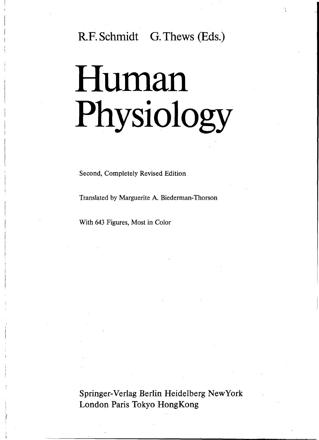# R.F. Schmidt G. Thews (Eds.)

# Human Physiology

Second, Completely Revised Edition

Translated by Marguerite A. Biederman-Thorson

With 643 Figures, Most in Color

Springer-Verlag Berlin Heidelberg New York London Paris Tokyo HongKong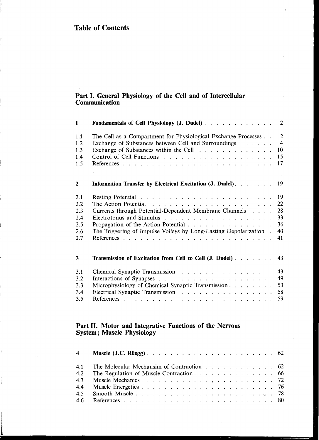#### Part I. General Physiology of the Cell and of Intercellular Communication

| $\mathbf{1}$                                               | <b>Fundamentals of Cell Physiology (J. Dudel)</b>                                                                                                                | 2                                         |
|------------------------------------------------------------|------------------------------------------------------------------------------------------------------------------------------------------------------------------|-------------------------------------------|
| 1.1<br>1.2<br>1.3<br>1.4<br>1.5                            | The Cell as a Compartment for Physiological Exchange Processes<br>Exchange of Substances between Cell and Surroundings<br>Exchange of Substances within the Cell | $2^{\circ}$<br>$\overline{4}$<br>10<br>17 |
| $\overline{2}$                                             | Information Transfer by Electrical Excitation (J. Dudel).                                                                                                        | 19                                        |
| 2.1<br>2.2<br>2.3 <sub>1</sub><br>2.4<br>2.5<br>2.6<br>2.7 | Currents through Potential-Dependent Membrane Channels<br>The Triggering of Impulse Volleys by Long-Lasting Depolarization.                                      | 19<br>22<br>28<br>33<br>36<br>40<br>41    |
| 3                                                          | Transmission of Excitation from Cell to Cell (J. Dudel)                                                                                                          | 43                                        |
| 3.1<br>3.2<br>3.3<br>3.4<br>3.5                            | Microphysiology of Chemical Synaptic Transmission<br>Electrical Synaptic Transmission.                                                                           | 43<br>49<br>53<br>58<br>59                |

#### Part II. Motor and Integrative Functions of the Nervous System; Muscle Physiology

|     | 4.1 The Molecular Mechansim of Contraction 62 |  |
|-----|-----------------------------------------------|--|
| 4.2 |                                               |  |
|     |                                               |  |
|     |                                               |  |
| 4.5 |                                               |  |
|     |                                               |  |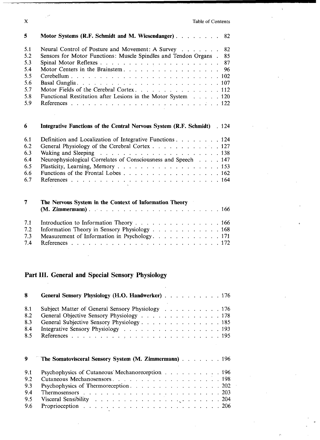X Table of Contents

 $\chi$ 

 $\bar{\psi}$ 

| 5   | Motor Systems (R.F. Schmidt and M. Wiesendanger)                         | 82 |
|-----|--------------------------------------------------------------------------|----|
| 5.1 | Neural Control of Posture and Movement: A Survey                         | 82 |
| 5.2 | Sensors for Motor Functions: Muscle Spindles and Tendon Organs .         | 85 |
| 5.3 |                                                                          | 87 |
| 5.4 | Motor Centers in the Brainstem.                                          | 96 |
| 5.5 |                                                                          |    |
| 5.6 |                                                                          |    |
| 5.7 | Motor Fields of the Cerebral Cortex. 112                                 |    |
| 5.8 | Functional Restitution after Lesions in the Motor System 120             |    |
| 5.9 |                                                                          |    |
| 6   | Integrative Functions of the Central Nervous System (R.F. Schmidt) . 124 |    |
| 6.1 | Definition and Localization of Integrative Functions 124                 |    |
| 6.2 | General Physiology of the Cerebral Cortex 127                            |    |
| 6.3 |                                                                          |    |
| 6.4 | Neurophysiological Correlates of Consciousness and Speech 147            |    |
| 6.5 |                                                                          |    |
| 6.6 | Functions of the Frontal Lobes 162                                       |    |
| 6.7 |                                                                          |    |
| 7   | The Nervous System in the Context of Information Theory                  |    |
| 7.1 | Introduction to Information Theory 166                                   |    |
| 7.2 | Information Theory in Sensory Physiology 168                             |    |
| 7.3 | Measurement of Information in Psychology. 171                            |    |
| 7.4 |                                                                          |    |

# Part III. General and Special Sensory Physiology

÷.

| 8   | General Sensory Physiology (H.O. Handwerker) 176                                                                                                                                                                    |  |
|-----|---------------------------------------------------------------------------------------------------------------------------------------------------------------------------------------------------------------------|--|
| 8.1 | Subject Matter of General Sensory Physiology 176                                                                                                                                                                    |  |
| 8.2 | General Objective Sensory Physiology 178                                                                                                                                                                            |  |
| 8.3 | General Subjective Sensory Physiology 185                                                                                                                                                                           |  |
| 8.4 | Integrative Sensory Physiology 193                                                                                                                                                                                  |  |
| 8.5 |                                                                                                                                                                                                                     |  |
|     |                                                                                                                                                                                                                     |  |
| 9   | The Somatovisceral Sensory System (M. Zimmermann) 196                                                                                                                                                               |  |
| 9.1 | Psychophysics of Cutaneous Mechanoreception 196                                                                                                                                                                     |  |
| 9.2 |                                                                                                                                                                                                                     |  |
| 9.3 | Psychophysics of Thermoreception. 202                                                                                                                                                                               |  |
| 9.4 | Thermosensors $\ldots$ $\ldots$ $\ldots$ $\ldots$ $\ldots$ $\ldots$ $\ldots$ $\ldots$ $\ldots$ $\ldots$ $\ldots$ $\ldots$ $\ldots$ $\ldots$ $\ldots$ $\ldots$ $\ldots$ $\ldots$ $\ldots$ $\ldots$ $\ldots$ $\ldots$ |  |
| 9.5 | Visceral Sensibility $\ldots \ldots \ldots \ldots \ldots \ldots \ldots \ldots \ldots \ldots 204$                                                                                                                    |  |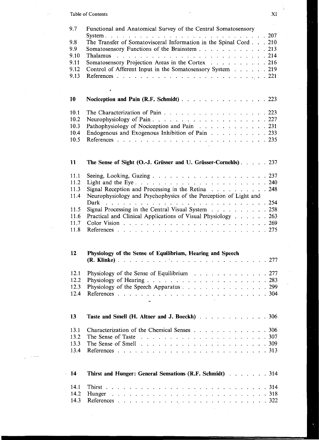| Table of Contents |  |
|-------------------|--|
|                   |  |

| 9.7<br>9.8<br>9.9<br>9.10<br>9.11<br>9.12<br>9.13<br>10<br>10.1 | Functional and Anatomical Survey of the Central Somatosensory<br>The Transfer of Somatovisceral Information in the Spinal Cord. 210<br>Somatosensory Functions of the Brainstem 213<br>Thalamus<br>Somatosensory Projection Areas in the Cortex 216<br>Control of Afferent Input in the Somatosensory System 219<br>$\mathbf{r}$<br>Nociception and Pain (R.F. Schmidt) 223<br>The Characterization of Pain 223 |
|-----------------------------------------------------------------|-----------------------------------------------------------------------------------------------------------------------------------------------------------------------------------------------------------------------------------------------------------------------------------------------------------------------------------------------------------------------------------------------------------------|
| 10.2                                                            |                                                                                                                                                                                                                                                                                                                                                                                                                 |
| 10.3                                                            | Pathophysiology of Nociception and Pain 231                                                                                                                                                                                                                                                                                                                                                                     |
| 10.4                                                            | Endogenous and Exogenous Inhibition of Pain 233                                                                                                                                                                                                                                                                                                                                                                 |
| 10.5                                                            |                                                                                                                                                                                                                                                                                                                                                                                                                 |
| 11                                                              | The Sense of Sight (O.-J. Grüsser and U. Grüsser-Cornehls). 237                                                                                                                                                                                                                                                                                                                                                 |
| 11.1                                                            |                                                                                                                                                                                                                                                                                                                                                                                                                 |
| 11.2                                                            |                                                                                                                                                                                                                                                                                                                                                                                                                 |
| 11.3                                                            | Signal Reception and Processing in the Retina 248                                                                                                                                                                                                                                                                                                                                                               |
| 11.4                                                            | Neurophysiology and Psychophysics of the Perception of Light and                                                                                                                                                                                                                                                                                                                                                |
|                                                                 |                                                                                                                                                                                                                                                                                                                                                                                                                 |
| 11.5                                                            | Signal Processing in the Central Visual System 258                                                                                                                                                                                                                                                                                                                                                              |
|                                                                 |                                                                                                                                                                                                                                                                                                                                                                                                                 |
| 11.6                                                            | Practical and Clinical Applications of Visual Physiology 263                                                                                                                                                                                                                                                                                                                                                    |
| 11.7                                                            |                                                                                                                                                                                                                                                                                                                                                                                                                 |
| 11.8                                                            |                                                                                                                                                                                                                                                                                                                                                                                                                 |
| 12                                                              | Physiology of the Sense of Equilibrium, Hearing and Speech                                                                                                                                                                                                                                                                                                                                                      |
| 12.1                                                            | Physiology of the Sense of Equilibrium $\ldots$ 277                                                                                                                                                                                                                                                                                                                                                             |
| 12.2                                                            |                                                                                                                                                                                                                                                                                                                                                                                                                 |
| 12.3                                                            | Physiology of the Speech Apparatus 299                                                                                                                                                                                                                                                                                                                                                                          |
| 12.4                                                            |                                                                                                                                                                                                                                                                                                                                                                                                                 |
|                                                                 |                                                                                                                                                                                                                                                                                                                                                                                                                 |
| 13                                                              | Taste and Smell (H. Altner and J. Boeckh) 306                                                                                                                                                                                                                                                                                                                                                                   |
| 13.1                                                            | Characterization of the Chemical Senses 306                                                                                                                                                                                                                                                                                                                                                                     |
| 13.2                                                            | The Sense of Taste                                                                                                                                                                                                                                                                                                                                                                                              |
| 13.3                                                            |                                                                                                                                                                                                                                                                                                                                                                                                                 |
| 13.4                                                            |                                                                                                                                                                                                                                                                                                                                                                                                                 |
| $\cdot$ 14                                                      | Thirst and Hunger: General Sensations (R.F. Schmidt) 314                                                                                                                                                                                                                                                                                                                                                        |
| 14.1                                                            |                                                                                                                                                                                                                                                                                                                                                                                                                 |
| 14.2                                                            |                                                                                                                                                                                                                                                                                                                                                                                                                 |
| 14.3                                                            |                                                                                                                                                                                                                                                                                                                                                                                                                 |
|                                                                 |                                                                                                                                                                                                                                                                                                                                                                                                                 |

 $\frac{1}{\Lambda}$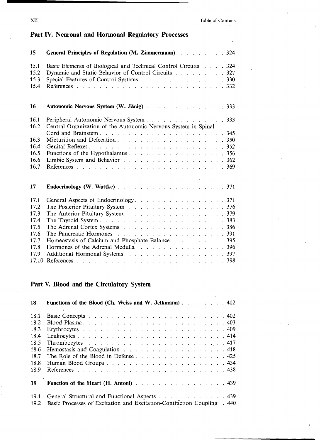# Part IV. Neuronal and Hormonal Regulatory Processes **15 General Principles of Regulation (M. Zimmermann)** 324 15.1 Basic Elements of Biological and Technical Control Circuits ... . 324 15.2 Dynamic and Static Behavior of Control Circuits  $\ldots$ ,  $\ldots$ ,  $\ldots$ , 327 15.3 Special Features of Control Systems  $\ldots$ ,  $\ldots$ ,  $\ldots$ ,  $\ldots$ , 330 15.4 References . 332 **16** Autonomic Nervous System (W. Jänig)  $\ldots$  . . . . . . . . . . . . . 333 16.1 Peripheral Autonomic Nervous System  $\ldots$ ,  $\ldots$ ,  $\ldots$ ,  $\ldots$ , 333 16.2 Central Organization of the Autonomic Nervous System in Spinal Cord and Brainstem 345 16.3 Micturition and Defecation  $\ldots$   $\ldots$   $\ldots$   $\ldots$   $\ldots$   $\ldots$  350 16.4 Genital Reflexes 352 16.5 Functions of the Hypothalamus  $\ldots$   $\ldots$   $\ldots$   $\ldots$   $\ldots$   $\ldots$  356 16.6 Limbic System and Behavior  $\ldots$ ,  $\ldots$ ,  $\ldots$ ,  $\ldots$ ,  $\ldots$ ,  $362$ 16.7 References 369 **17** Endocrinology (W. Wuttke) 3. **19.** 1. **1.** 1. 1. 1. 1. 1. 1. 1. 371 17.1 General Aspects of Endocrinology. . . . . . . . . . . . . . . . . 371 17.2 The Posterior Pituitary System (a) and (b) and (b) and (b)  $376$ 17.3 The Anterior Pituitary System . . . . . . . . . . . . . . . . . 379 17.4 The Thyroid System 383 The Adrenal Cortex Systems . . . . . . . . . . . . . . . . . . 386 17.6 The Pancreatic Hormones 391 17.7 Homeostasis of Calcium and Phosphate Balance (a)  $\cdot$  (a)  $\cdot$  (a)  $\cdot$  (a)  $\cdot$  (a)  $\cdot$  (a)  $\cdot$  (a)  $\cdot$  (a)  $\cdot$  (a)  $\cdot$  (a)  $\cdot$  (a)  $\cdot$  (a)  $\cdot$  (a)  $\cdot$  (a)  $\cdot$  (a)  $\cdot$  (a)  $\cdot$  (a)  $\cdot$  (a)  $\cdot$  (a)  $\cdot$  ( Hormones of the Adrenal Medulla 300 and 396 and 396 17.9 Additional Hormonal Systems  $\ldots$   $\ldots$   $\ldots$   $\ldots$   $\ldots$   $\ldots$  397 17.10 References ' 398

#### Part V. Blood and the Circulatory System

| 18   | Functions of the Blood (Ch. Weiss and W. Jelkmann) 402                  |
|------|-------------------------------------------------------------------------|
|      |                                                                         |
| 18.1 |                                                                         |
| 18.2 |                                                                         |
| 18.3 |                                                                         |
| 18.4 | Leukocytes414                                                           |
| 18.5 |                                                                         |
| 18.6 | Hemostasis and Coagulation 418                                          |
| 18.7 | The Role of the Blood in Defense 425                                    |
| 18.8 | Human Blood Groups 434                                                  |
| 18.9 |                                                                         |
| 19   | Function of the Heart (H. Antoni) 439                                   |
| 19.1 | General Structural and Functional Aspects 439                           |
| 19.2 | Basic Processes of Excitation and Excitation-Contraction Coupling . 440 |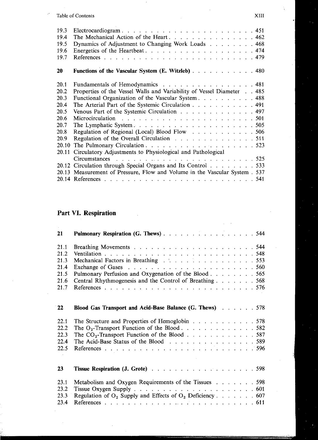#### Table of Contents XIII

 $\mathcal{L}$ 

| 19.3<br>19.4<br>19.5<br>19.6<br>19.7 | The Mechanical Action of the Heart462<br>Dynamics of Adjustment to Changing Work Loads 468<br>Energetics of the Heartbeat474 |  |
|--------------------------------------|------------------------------------------------------------------------------------------------------------------------------|--|
| 20                                   | <b>Functions of the Vascular System (E. Witzleb)</b> 480                                                                     |  |
| 20.1                                 | Fundamentals of Hemodynamics 481                                                                                             |  |
| 20.2                                 | Properties of the Vessel Walls and Variability of Vessel Diameter 485                                                        |  |
| 20.3                                 | Functional Organization of the Vascular System 488                                                                           |  |
| 20.4                                 | The Arterial Part of the Systemic Circulation 491                                                                            |  |
| 20.5                                 | Venous Part of the Systemic Circulation 497                                                                                  |  |
| 20.6                                 |                                                                                                                              |  |
| 20.7                                 | The Lymphatic System. $\ldots$ $\ldots$ $\ldots$ $\ldots$ $\ldots$ $\ldots$ $\ldots$ $\ldots$ 505                            |  |
| 20.8                                 | Regulation of Regional (Local) Blood Flow 506                                                                                |  |
| 20.9                                 | Regulation of the Overall Circulation 511                                                                                    |  |
| 20.10                                | The Pulmonary Circulation523                                                                                                 |  |
| 20.11                                | Circulatory Adjustments to Physiological and Pathological                                                                    |  |
|                                      |                                                                                                                              |  |
|                                      | 20.12 Circulation through Special Organs and Its Control 533                                                                 |  |
|                                      | 20.13 Measurement of Pressure, Flow and Volume in the Vascular System . 537                                                  |  |
|                                      |                                                                                                                              |  |

# Part VI. Respiration

| 21   | Pulmonary Respiration (G. Thews) 544                           |
|------|----------------------------------------------------------------|
| 21.1 |                                                                |
| 21.2 |                                                                |
| 21.3 | Mechanical Factors in Breathing 553                            |
| 21.4 |                                                                |
| 21.5 | Pulmonary Perfusion and Oxygenation of the Blood 565           |
| 21.6 | Central Rhythmogenesis and the Control of Breathing 568        |
| 21.7 |                                                                |
| 22   | Blood Gas Transport and Acid-Base Balance (G. Thews) 578       |
| 22.1 | The Structure and Properties of Hemoglobin 578                 |
| 22.2 | The O <sub>2</sub> -Transport Function of the Blood 582        |
| 22.3 | The $CO_2$ -Transport Function of the Blood 587                |
| 22.4 | The Acid-Base Status of the Blood 589                          |
| 22.5 |                                                                |
| 23   |                                                                |
| 23.1 | Metabolism and Oxygen Requirements of the Tissues 598          |
| 23.2 |                                                                |
| 23.3 | Regulation of $O_2$ Supply and Effects of $O_2$ Deficiency 607 |
| 23.4 |                                                                |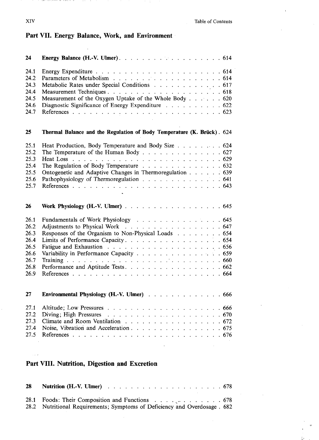#### Part VII. Energy Balance, Work, and Environment

÷,

 $1.11$ 

| 24   |                                                                        |  |
|------|------------------------------------------------------------------------|--|
| 24.1 |                                                                        |  |
| 24.2 |                                                                        |  |
| 24.3 | Metabolic Rates under Special Conditions 617                           |  |
| 24.4 |                                                                        |  |
| 24.5 | Measurement of the Oxygen Uptake of the Whole Body 620                 |  |
| 24.6 | Diagnostic Significance of Energy Expenditure 622                      |  |
| 24.7 |                                                                        |  |
| 25   | Thermal Balance and the Regulation of Body Temperature (K. Brück). 624 |  |
| 25.1 | Heat Production, Body Temperature and Body Size 624                    |  |
| 25.2 | The Temperature of the Human Body 627                                  |  |
| 25.3 |                                                                        |  |
| 25.4 | The Regulation of Body Temperature 632                                 |  |
| 25.5 | Ontogenetic and Adaptive Changes in Thermoregulation 639               |  |
| 25.6 | Pathophysiology of Thermoregulation 641                                |  |
| 25.7 |                                                                        |  |
|      |                                                                        |  |
| 26   | Work Physiology (H.-V. Ulmer) 645                                      |  |
| 26.1 | Fundamentals of Work Physiology 645                                    |  |
| 26.2 | Adjustments to Physical Work 647                                       |  |
|      |                                                                        |  |
| 26.3 | Responses of the Organism to Non-Physical Loads 654                    |  |
| 26.4 | Limits of Performance Capacity. 654                                    |  |
| 26.5 |                                                                        |  |
| 26.6 | Variability in Performance Capacity 659                                |  |
| 26.7 |                                                                        |  |
| 26.8 |                                                                        |  |
| 26.9 |                                                                        |  |
| 27   | Environmental Physiology (H.-V. Ulmer) 666                             |  |
| 27.1 |                                                                        |  |
| 27.2 |                                                                        |  |
| 27.3 | Climate and Room Ventilation 672                                       |  |
| 27.4 |                                                                        |  |
| 27.5 | Noise, Vibration and Acceleration 675                                  |  |

## Part VIII. Nutrition, Digestion and Excretion

| <b>28</b> Nutrition (H.-V. Ulmer) $\ldots$ $\ldots$ $\ldots$ $\ldots$ $\ldots$ $\ldots$ $\ldots$ $\ldots$ 678 |  |
|---------------------------------------------------------------------------------------------------------------|--|
| 28.1 Foods: Their Composition and Functions $\ldots$ , $\ldots$ , $\ldots$ , $\ldots$ , 678                   |  |
| 28.2 Nutritional Requirements; Symptoms of Deficiency and Overdosage. 682                                     |  |

 $\overline{\phantom{a}}$ 

 $\frac{1}{2}$  ,  $\frac{1}{2}$ 

 $\mathcal{L}_{\mathcal{M}}$  and  $\mathcal{L}_{\mathcal{M}}$  is the following contract of the contract of the  $\mathcal{L}_{\mathcal{M}}$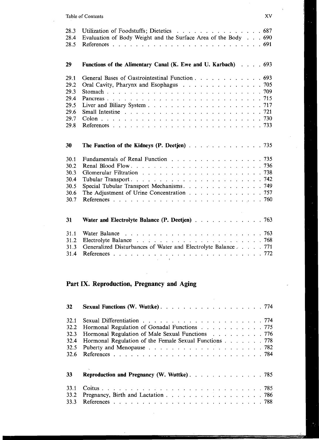#### Table of Contents XV

| 28.3 | Utilization of Foodstuffs; Dietetics 687                       |
|------|----------------------------------------------------------------|
| 28.4 | Evaluation of Body Weight and the Surface Area of the Body 690 |
| 28.5 |                                                                |
|      |                                                                |
| 29   | Functions of the Alimentary Canal (K. Ewe and U. Karbach) 693  |
|      |                                                                |
| 29.1 | General Bases of Gastrointestinal Function 693                 |
| 29.2 | Oral Cavity, Pharynx and Esophagus 705                         |
| 29.3 |                                                                |
| 29.4 |                                                                |
| 29.5 |                                                                |
| 29.6 |                                                                |
| 29.7 |                                                                |
| 29.8 |                                                                |
|      |                                                                |
|      |                                                                |
| 30   |                                                                |
|      |                                                                |
| 30.1 | Fundamentals of Renal Function 735                             |
| 30.2 |                                                                |
| 30.3 |                                                                |
| 30.4 |                                                                |
| 30.5 | Special Tubular Transport Mechanisms. 749                      |
| 30.6 | The Adjustment of Urine Concentration 757                      |
| 30.7 |                                                                |
|      |                                                                |
| 31   | Water and Electrolyte Balance (P. Deetjen) 763                 |
|      |                                                                |
| 31.1 |                                                                |
| 31.2 |                                                                |
| 31.3 | Generalized Disturbances of Water and Electrolyte Balance771   |
| 31.4 |                                                                |
|      | $\mathbf{r}$<br><b>Contract Contract</b>                       |
|      |                                                                |

# Part IX. Reproduction, Pregnancy and Aging

 $\chi_{\rm{max}}=0.5$ 

| 32   | Sexual Functions (W. Wuttke)774                        |
|------|--------------------------------------------------------|
| 32.1 |                                                        |
| 32.2 | Hormonal Regulation of Gonadal Functions 775           |
| 32.3 | Hormonal Regulation of Male Sexual Functions 776       |
| 32.4 | Hormonal Regulation of the Female Sexual Functions 778 |
| 32.5 |                                                        |
| 32.6 |                                                        |
| 33   | <b>Reproduction and Pregnancy (W. Wuttke).</b> 785     |
| 33.1 |                                                        |
| 33.2 |                                                        |
| 33.3 |                                                        |

<u> Bandarík (b. 1988)</u>